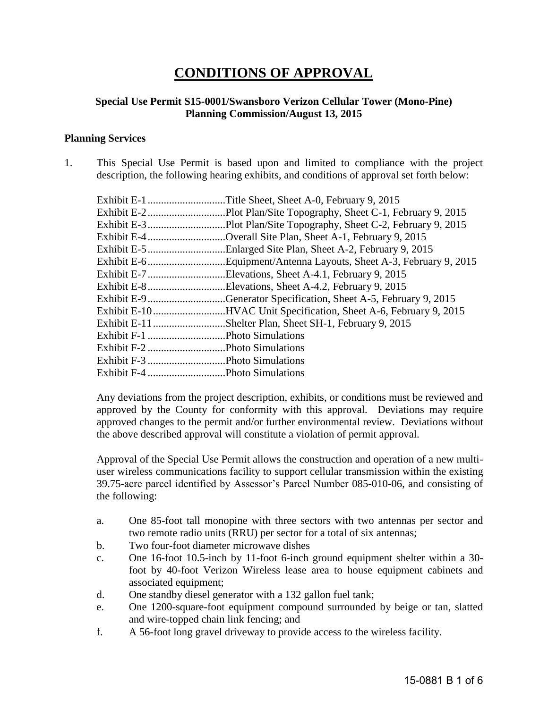# **CONDITIONS OF APPROVAL**

## **Special Use Permit S15-0001/Swansboro Verizon Cellular Tower (Mono-Pine) Planning Commission/August 13, 2015**

#### **Planning Services**

1. This Special Use Permit is based upon and limited to compliance with the project description, the following hearing exhibits, and conditions of approval set forth below:

| Exhibit E-4Overall Site Plan, Sheet A-1, February 9, 2015        |
|------------------------------------------------------------------|
|                                                                  |
|                                                                  |
| Exhibit E-7Elevations, Sheet A-4.1, February 9, 2015             |
| Exhibit E-8Elevations, Sheet A-4.2, February 9, 2015             |
| Exhibit E-9 Generator Specification, Sheet A-5, February 9, 2015 |
| Exhibit E-10HVAC Unit Specification, Sheet A-6, February 9, 2015 |
| Exhibit E-11 Shelter Plan, Sheet SH-1, February 9, 2015          |
|                                                                  |
|                                                                  |
|                                                                  |
|                                                                  |

Any deviations from the project description, exhibits, or conditions must be reviewed and approved by the County for conformity with this approval. Deviations may require approved changes to the permit and/or further environmental review. Deviations without the above described approval will constitute a violation of permit approval.

Approval of the Special Use Permit allows the construction and operation of a new multiuser wireless communications facility to support cellular transmission within the existing 39.75-acre parcel identified by Assessor's Parcel Number 085-010-06, and consisting of the following:

- a. One 85-foot tall monopine with three sectors with two antennas per sector and two remote radio units (RRU) per sector for a total of six antennas;
- b. Two four-foot diameter microwave dishes
- c. One 16-foot 10.5-inch by 11-foot 6-inch ground equipment shelter within a 30 foot by 40-foot Verizon Wireless lease area to house equipment cabinets and associated equipment;
- d. One standby diesel generator with a 132 gallon fuel tank;
- e. One 1200-square-foot equipment compound surrounded by beige or tan, slatted and wire-topped chain link fencing; and
- f. A 56-foot long gravel driveway to provide access to the wireless facility.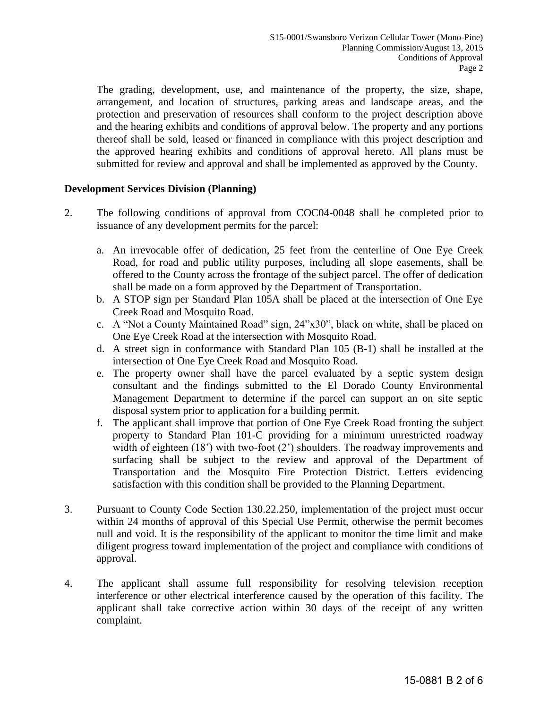The grading, development, use, and maintenance of the property, the size, shape, arrangement, and location of structures, parking areas and landscape areas, and the protection and preservation of resources shall conform to the project description above and the hearing exhibits and conditions of approval below. The property and any portions thereof shall be sold, leased or financed in compliance with this project description and the approved hearing exhibits and conditions of approval hereto. All plans must be submitted for review and approval and shall be implemented as approved by the County.

# **Development Services Division (Planning)**

- 2. The following conditions of approval from COC04-0048 shall be completed prior to issuance of any development permits for the parcel:
	- a. An irrevocable offer of dedication, 25 feet from the centerline of One Eye Creek Road, for road and public utility purposes, including all slope easements, shall be offered to the County across the frontage of the subject parcel. The offer of dedication shall be made on a form approved by the Department of Transportation.
	- b. A STOP sign per Standard Plan 105A shall be placed at the intersection of One Eye Creek Road and Mosquito Road.
	- c. A "Not a County Maintained Road" sign, 24"x30", black on white, shall be placed on One Eye Creek Road at the intersection with Mosquito Road.
	- d. A street sign in conformance with Standard Plan 105 (B-1) shall be installed at the intersection of One Eye Creek Road and Mosquito Road.
	- e. The property owner shall have the parcel evaluated by a septic system design consultant and the findings submitted to the El Dorado County Environmental Management Department to determine if the parcel can support an on site septic disposal system prior to application for a building permit.
	- f. The applicant shall improve that portion of One Eye Creek Road fronting the subject property to Standard Plan 101-C providing for a minimum unrestricted roadway width of eighteen (18') with two-foot (2') shoulders. The roadway improvements and surfacing shall be subject to the review and approval of the Department of Transportation and the Mosquito Fire Protection District. Letters evidencing satisfaction with this condition shall be provided to the Planning Department.
- 3. Pursuant to County Code Section 130.22.250, implementation of the project must occur within 24 months of approval of this Special Use Permit, otherwise the permit becomes null and void. It is the responsibility of the applicant to monitor the time limit and make diligent progress toward implementation of the project and compliance with conditions of approval.
- 4. The applicant shall assume full responsibility for resolving television reception interference or other electrical interference caused by the operation of this facility. The applicant shall take corrective action within 30 days of the receipt of any written complaint.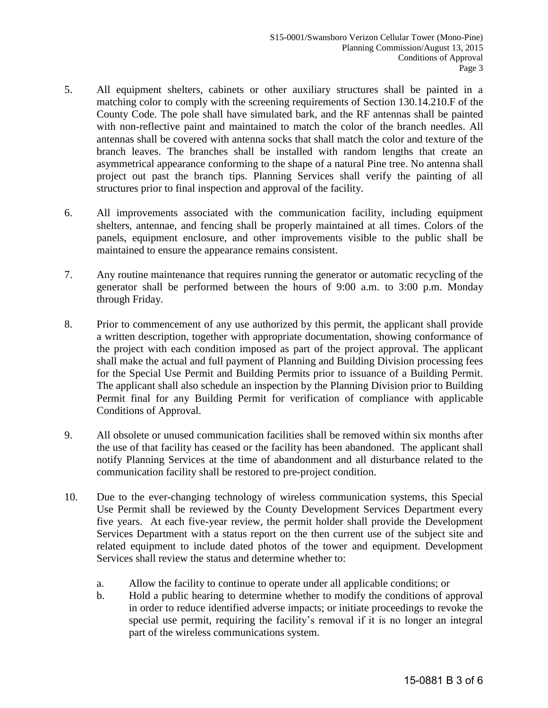- 5. All equipment shelters, cabinets or other auxiliary structures shall be painted in a matching color to comply with the screening requirements of Section 130.14.210.F of the County Code. The pole shall have simulated bark, and the RF antennas shall be painted with non-reflective paint and maintained to match the color of the branch needles. All antennas shall be covered with antenna socks that shall match the color and texture of the branch leaves. The branches shall be installed with random lengths that create an asymmetrical appearance conforming to the shape of a natural Pine tree. No antenna shall project out past the branch tips. Planning Services shall verify the painting of all structures prior to final inspection and approval of the facility.
- 6. All improvements associated with the communication facility, including equipment shelters, antennae, and fencing shall be properly maintained at all times. Colors of the panels, equipment enclosure, and other improvements visible to the public shall be maintained to ensure the appearance remains consistent.
- 7. Any routine maintenance that requires running the generator or automatic recycling of the generator shall be performed between the hours of 9:00 a.m. to 3:00 p.m. Monday through Friday.
- 8. Prior to commencement of any use authorized by this permit, the applicant shall provide a written description, together with appropriate documentation, showing conformance of the project with each condition imposed as part of the project approval. The applicant shall make the actual and full payment of Planning and Building Division processing fees for the Special Use Permit and Building Permits prior to issuance of a Building Permit. The applicant shall also schedule an inspection by the Planning Division prior to Building Permit final for any Building Permit for verification of compliance with applicable Conditions of Approval.
- 9. All obsolete or unused communication facilities shall be removed within six months after the use of that facility has ceased or the facility has been abandoned. The applicant shall notify Planning Services at the time of abandonment and all disturbance related to the communication facility shall be restored to pre-project condition.
- 10. Due to the ever-changing technology of wireless communication systems, this Special Use Permit shall be reviewed by the County Development Services Department every five years. At each five-year review, the permit holder shall provide the Development Services Department with a status report on the then current use of the subject site and related equipment to include dated photos of the tower and equipment. Development Services shall review the status and determine whether to:
	- a. Allow the facility to continue to operate under all applicable conditions; or
	- b. Hold a public hearing to determine whether to modify the conditions of approval in order to reduce identified adverse impacts; or initiate proceedings to revoke the special use permit, requiring the facility's removal if it is no longer an integral part of the wireless communications system.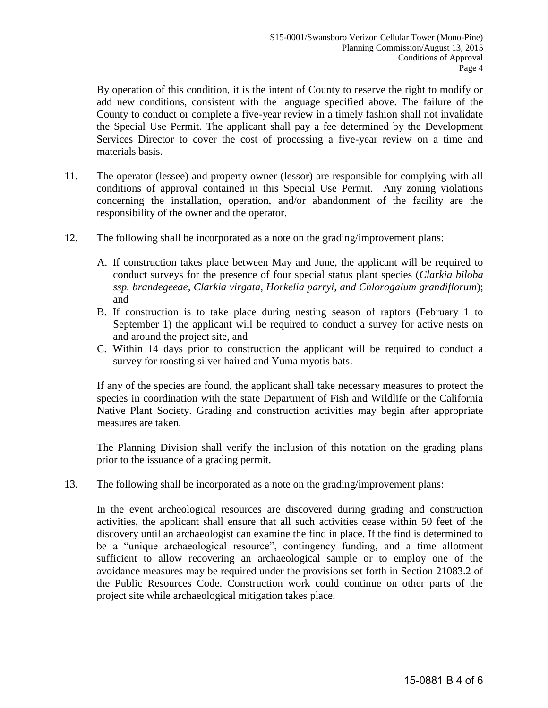By operation of this condition, it is the intent of County to reserve the right to modify or add new conditions, consistent with the language specified above. The failure of the County to conduct or complete a five-year review in a timely fashion shall not invalidate the Special Use Permit. The applicant shall pay a fee determined by the Development Services Director to cover the cost of processing a five-year review on a time and materials basis.

- 11. The operator (lessee) and property owner (lessor) are responsible for complying with all conditions of approval contained in this Special Use Permit. Any zoning violations concerning the installation, operation, and/or abandonment of the facility are the responsibility of the owner and the operator.
- 12. The following shall be incorporated as a note on the grading/improvement plans:
	- A. If construction takes place between May and June, the applicant will be required to conduct surveys for the presence of four special status plant species (*Clarkia biloba ssp. brandegeeae, Clarkia virgata, Horkelia parryi, and Chlorogalum grandiflorum*); and
	- B. If construction is to take place during nesting season of raptors (February 1 to September 1) the applicant will be required to conduct a survey for active nests on and around the project site, and
	- C. Within 14 days prior to construction the applicant will be required to conduct a survey for roosting silver haired and Yuma myotis bats.

If any of the species are found, the applicant shall take necessary measures to protect the species in coordination with the state Department of Fish and Wildlife or the California Native Plant Society. Grading and construction activities may begin after appropriate measures are taken.

 The Planning Division shall verify the inclusion of this notation on the grading plans prior to the issuance of a grading permit.

13. The following shall be incorporated as a note on the grading/improvement plans:

In the event archeological resources are discovered during grading and construction activities, the applicant shall ensure that all such activities cease within 50 feet of the discovery until an archaeologist can examine the find in place. If the find is determined to be a "unique archaeological resource", contingency funding, and a time allotment sufficient to allow recovering an archaeological sample or to employ one of the avoidance measures may be required under the provisions set forth in Section 21083.2 of the Public Resources Code. Construction work could continue on other parts of the project site while archaeological mitigation takes place.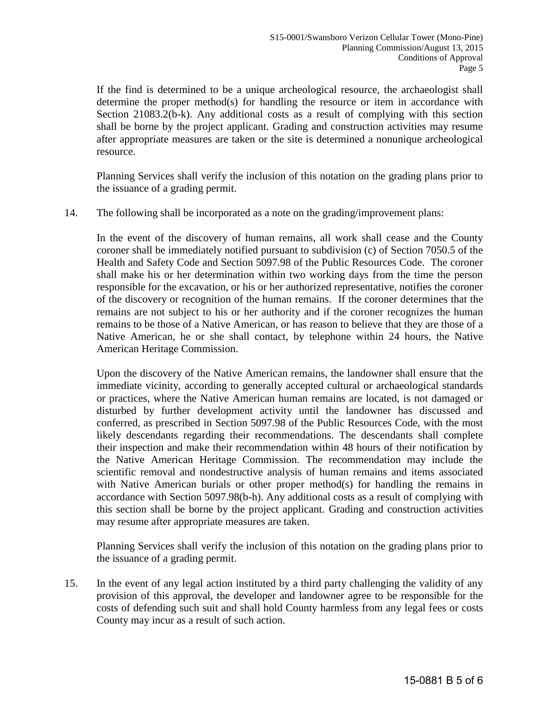If the find is determined to be a unique archeological resource, the archaeologist shall determine the proper method(s) for handling the resource or item in accordance with Section 21083.2(b-k). Any additional costs as a result of complying with this section shall be borne by the project applicant. Grading and construction activities may resume after appropriate measures are taken or the site is determined a nonunique archeological resource.

Planning Services shall verify the inclusion of this notation on the grading plans prior to the issuance of a grading permit.

14. The following shall be incorporated as a note on the grading/improvement plans:

In the event of the discovery of human remains, all work shall cease and the County coroner shall be immediately notified pursuant to subdivision (c) of Section 7050.5 of the Health and Safety Code and Section 5097.98 of the Public Resources Code. The coroner shall make his or her determination within two working days from the time the person responsible for the excavation, or his or her authorized representative, notifies the coroner of the discovery or recognition of the human remains. If the coroner determines that the remains are not subject to his or her authority and if the coroner recognizes the human remains to be those of a Native American, or has reason to believe that they are those of a Native American, he or she shall contact, by telephone within 24 hours, the Native American Heritage Commission.

 Upon the discovery of the Native American remains, the landowner shall ensure that the immediate vicinity, according to generally accepted cultural or archaeological standards or practices, where the Native American human remains are located, is not damaged or disturbed by further development activity until the landowner has discussed and conferred, as prescribed in Section 5097.98 of the Public Resources Code, with the most likely descendants regarding their recommendations. The descendants shall complete their inspection and make their recommendation within 48 hours of their notification by the Native American Heritage Commission. The recommendation may include the scientific removal and nondestructive analysis of human remains and items associated with Native American burials or other proper method(s) for handling the remains in accordance with Section 5097.98(b-h). Any additional costs as a result of complying with this section shall be borne by the project applicant. Grading and construction activities may resume after appropriate measures are taken.

 Planning Services shall verify the inclusion of this notation on the grading plans prior to the issuance of a grading permit.

15. In the event of any legal action instituted by a third party challenging the validity of any provision of this approval, the developer and landowner agree to be responsible for the costs of defending such suit and shall hold County harmless from any legal fees or costs County may incur as a result of such action.